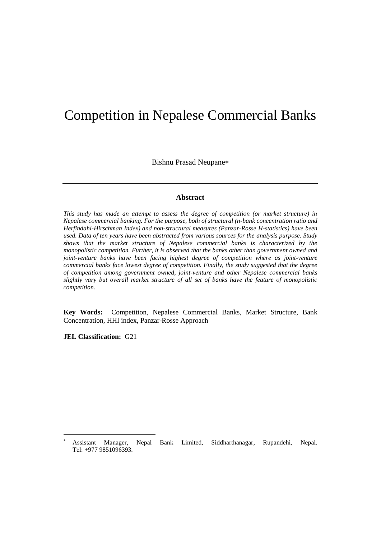# Competition in Nepalese Commercial Banks

Bishnu Prasad Neupane

## **Abstract**

*This study has made an attempt to assess the degree of competition (or market structure) in Nepalese commercial banking. For the purpose, both of structural (n-bank concentration ratio and Herfindahl-Hirschman Index) and non-structural measures (Panzar-Rosse H-statistics) have been used. Data of ten years have been abstracted from various sources for the analysis purpose. Study shows that the market structure of Nepalese commercial banks is characterized by the monopolistic competition. Further, it is observed that the banks other than government owned and joint-venture banks have been facing highest degree of competition where as joint-venture commercial banks face lowest degree of competition. Finally, the study suggested that the degree of competition among government owned, joint-venture and other Nepalese commercial banks slightly vary but overall market structure of all set of banks have the feature of monopolistic competition.*

**Key Words:** Competition, Nepalese Commercial Banks, Market Structure, Bank Concentration, HHI index, Panzar-Rosse Approach

**JEL Classification:** G21

 $\ddot{\phantom{a}}$ 

<sup>×</sup>  Assistant Manager, Nepal Bank Limited, Siddharthanagar, Rupandehi, Nepal. Tel: +977 9851096393.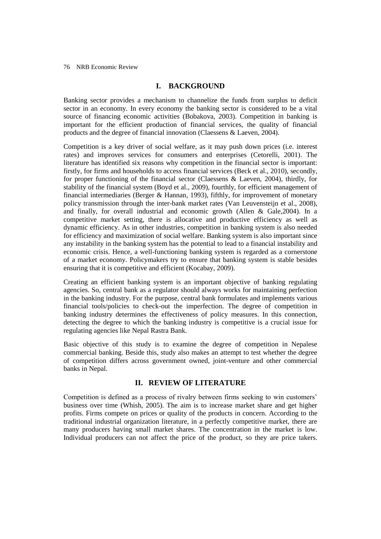# **I. BACKGROUND**

Banking sector provides a mechanism to channelize the funds from surplus to deficit sector in an economy. In every economy the banking sector is considered to be a vital source of financing economic activities (Bobakova, 2003). Competition in banking is important for the efficient production of financial services, the quality of financial products and the degree of financial innovation (Claessens & Laeven, 2004).

Competition is a key driver of social welfare, as it may push down prices (i.e. interest rates) and improves services for consumers and enterprises (Cetorelli, 2001). The literature has identified six reasons why competition in the financial sector is important: firstly, for firms and households to access financial services (Beck et al., 2010), secondly, for proper functioning of the financial sector (Claessens & Laeven, 2004), thirdly, for stability of the financial system (Boyd et al., 2009), fourthly, for efficient management of financial intermediaries (Berger & Hannan, 1993), fifthly, for improvement of monetary policy transmission through the inter-bank market rates (Van Leuvensteijn et al., 2008), and finally, for overall industrial and economic growth (Allen & Gale,2004). In a competitive market setting, there is allocative and productive efficiency as well as dynamic efficiency. As in other industries, competition in banking system is also needed for efficiency and maximization of social welfare. Banking system is also important since any instability in the banking system has the potential to lead to a financial instability and economic crisis. Hence, a well-functioning banking system is regarded as a cornerstone of a market economy. Policymakers try to ensure that banking system is stable besides ensuring that it is competitive and efficient (Kocabay, 2009).

Creating an efficient banking system is an important objective of banking regulating agencies. So, central bank as a regulator should always works for maintaining perfection in the banking industry. For the purpose, central bank formulates and implements various financial tools/policies to check-out the imperfection. The degree of competition in banking industry determines the effectiveness of policy measures. In this connection, detecting the degree to which the banking industry is competitive is a crucial issue for regulating agencies like Nepal Rastra Bank.

Basic objective of this study is to examine the degree of competition in Nepalese commercial banking. Beside this, study also makes an attempt to test whether the degree of competition differs across government owned, joint-venture and other commercial banks in Nepal.

## **II. REVIEW OF LITERATURE**

Competition is defined as a process of rivalry between firms seeking to win customers' business over time (Whish, 2005). The aim is to increase market share and get higher profits. Firms compete on prices or quality of the products in concern. According to the traditional industrial organization literature, in a perfectly competitive market, there are many producers having small market shares. The concentration in the market is low. Individual producers can not affect the price of the product, so they are price takers.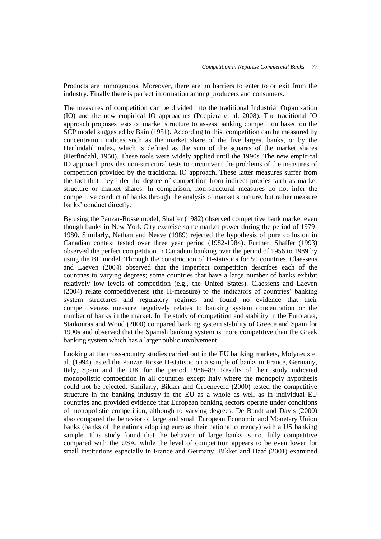Products are homogenous. Moreover, there are no barriers to enter to or exit from the industry. Finally there is perfect information among producers and consumers.

The measures of competition can be divided into the traditional Industrial Organization (IO) and the new empirical IO approaches (Podpiera et al. 2008). The traditional IO approach proposes tests of market structure to assess banking competition based on the SCP model suggested by Bain (1951). According to this, competition can be measured by concentration indices such as the market share of the five largest banks, or by the Herfindahl index, which is defined as the sum of the squares of the market shares (Herfindahl, 1950). These tools were widely applied until the 1990s. The new empirical IO approach provides non-structural tests to circumvent the problems of the measures of competition provided by the traditional IO approach. These latter measures suffer from the fact that they infer the degree of competition from indirect proxies such as market structure or market shares. In comparison, non-structural measures do not infer the competitive conduct of banks through the analysis of market structure, but rather measure banks' conduct directly.

By using the Panzar-Rosse model, Shaffer (1982) observed competitive bank market even though banks in New York City exercise some market power during the period of 1979- 1980. Similarly, Nathan and Neave (1989) rejected the hypothesis of pure collusion in Canadian context tested over three year period (1982-1984). Further, Shaffer (1993) observed the perfect competition in Canadian banking over the period of 1956 to 1989 by using the BL model. Through the construction of H-statistics for 50 countries, Claessens and Laeven (2004) observed that the imperfect competition describes each of the countries to varying degrees; some countries that have a large number of banks exhibit relatively low levels of competition (e.g., the United States). Claessens and Laeven (2004) relate competitiveness (the H-measure) to the indicators of countries' banking system structures and regulatory regimes and found no evidence that their competitiveness measure negatively relates to banking system concentration or the number of banks in the market. In the study of competition and stability in the Euro area, Staikouras and Wood (2000) compared banking system stability of Greece and Spain for 1990s and observed that the Spanish banking system is more competitive than the Greek banking system which has a larger public involvement.

Looking at the cross-country studies carried out in the EU banking markets, Molyneux et al. (1994) tested the Panzar–Rosse H-statistic on a sample of banks in France, Germany, Italy, Spain and the UK for the period 1986–89. Results of their study indicated monopolistic competition in all countries except Italy where the monopoly hypothesis could not be rejected. Similarly, Bikker and Groeneveld (2000) tested the competitive structure in the banking industry in the EU as a whole as well as in individual EU countries and provided evidence that European banking sectors operate under conditions of monopolistic competition, although to varying degrees. De Bandt and Davis (2000) also compared the behavior of large and small European Economic and Monetary Union banks (banks of the nations adopting euro as their national currency) with a US banking sample. This study found that the behavior of large banks is not fully competitive compared with the USA, while the level of competition appears to be even lower for small institutions especially in France and Germany. Bikker and Haaf (2001) examined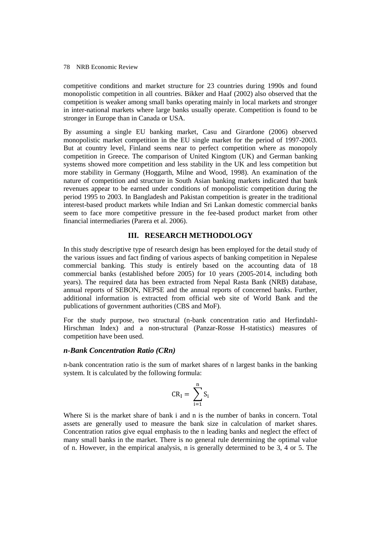competitive conditions and market structure for 23 countries during 1990s and found monopolistic competition in all countries. Bikker and Haaf (2002) also observed that the competition is weaker among small banks operating mainly in local markets and stronger in inter-national markets where large banks usually operate. Competition is found to be stronger in Europe than in Canada or USA.

By assuming a single EU banking market, Casu and Girardone (2006) observed monopolistic market competition in the EU single market for the period of 1997-2003. But at country level, Finland seems near to perfect competition where as monopoly competition in Greece. The comparison of United Kingtom (UK) and German banking systems showed more competition and less stability in the UK and less competition but more stability in Germany (Hoggarth, Milne and Wood, 1998). An examination of the nature of competition and structure in South Asian banking markets indicated that bank revenues appear to be earned under conditions of monopolistic competition during the period 1995 to 2003. In Bangladesh and Pakistan competition is greater in the traditional interest-based product markets while Indian and Sri Lankan domestic commercial banks seem to face more competitive pressure in the fee-based product market from other financial intermediaries (Parera et al. 2006).

## **III. RESEARCH METHODOLOGY**

In this study descriptive type of research design has been employed for the detail study of the various issues and fact finding of various aspects of banking competition in Nepalese commercial banking. This study is entirely based on the accounting data of 18 commercial banks (established before 2005) for 10 years (2005-2014, including both years). The required data has been extracted from Nepal Rasta Bank (NRB) database, annual reports of SEBON, NEPSE and the annual reports of concerned banks. Further, additional information is extracted from official web site of World Bank and the publications of government authorities (CBS and MoF).

For the study purpose, two structural (n-bank concentration ratio and Herfindahl-Hirschman Index) and a non-structural (Panzar-Rosse H-statistics) measures of competition have been used.

## *n-Bank Concentration Ratio (CRn)*

n-bank concentration ratio is the sum of market shares of n largest banks in the banking system. It is calculated by the following formula:

$$
\text{CR}_I = \ \sum_{i=1}^n S_i
$$

Where Si is the market share of bank i and n is the number of banks in concern. Total assets are generally used to measure the bank size in calculation of market shares. Concentration ratios give equal emphasis to the n leading banks and neglect the effect of many small banks in the market. There is no general rule determining the optimal value of n. However, in the empirical analysis, n is generally determined to be 3, 4 or 5. The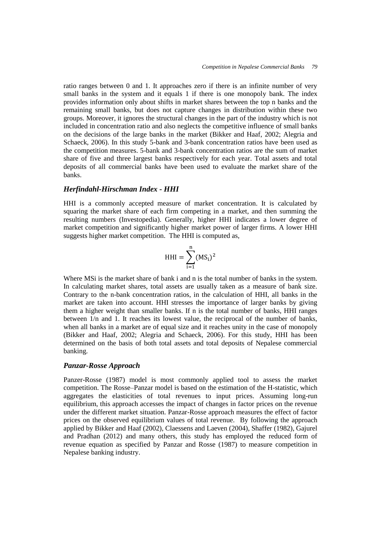ratio ranges between 0 and 1. It approaches zero if there is an infinite number of very small banks in the system and it equals 1 if there is one monopoly bank. The index provides information only about shifts in market shares between the top n banks and the remaining small banks, but does not capture changes in distribution within these two groups. Moreover, it ignores the structural changes in the part of the industry which is not included in concentration ratio and also neglects the competitive influence of small banks on the decisions of the large banks in the market (Bikker and Haaf, 2002; Alegria and Schaeck, 2006). In this study 5-bank and 3-bank concentration ratios have been used as the competition measures. 5-bank and 3-bank concentration ratios are the sum of market share of five and three largest banks respectively for each year. Total assets and total deposits of all commercial banks have been used to evaluate the market share of the banks.

## *Herfindahl-Hirschman Index - HHI*

HHI is a commonly accepted measure of market concentration. It is calculated by squaring the market share of each firm competing in a market, and then summing the resulting numbers (Investopedia). Generally, higher HHI indicates a lower degree of market competition and significantly higher market power of larger firms. A lower HHI suggests higher market competition. The HHI is computed as,

$$
HHI = \sum_{i=1}^{n} (MS_i)^2
$$

Where MSi is the market share of bank i and n is the total number of banks in the system. In calculating market shares, total assets are usually taken as a measure of bank size. Contrary to the n-bank concentration ratios, in the calculation of HHI, all banks in the market are taken into account. HHI stresses the importance of larger banks by giving them a higher weight than smaller banks. If n is the total number of banks, HHI ranges between 1/n and 1. It reaches its lowest value, the reciprocal of the number of banks, when all banks in a market are of equal size and it reaches unity in the case of monopoly (Bikker and Haaf, 2002; Alegria and Schaeck, 2006). For this study, HHI has been determined on the basis of both total assets and total deposits of Nepalese commercial banking.

#### *Panzar-Rosse Approach*

Panzer-Rosse (1987) model is most commonly applied tool to assess the market competition. The Rosse–Panzar model is based on the estimation of the H-statistic, which aggregates the elasticities of total revenues to input prices. Assuming long-run equilibrium, this approach accesses the impact of changes in factor prices on the revenue under the different market situation. Panzar-Rosse approach measures the effect of factor prices on the observed equilibrium values of total revenue. By following the approach applied by Bikker and Haaf (2002), Claessens and Laeven (2004), Shaffer (1982), Gajurel and Pradhan (2012) and many others, this study has employed the reduced form of revenue equation as specified by Panzar and Rosse (1987) to measure competition in Nepalese banking industry.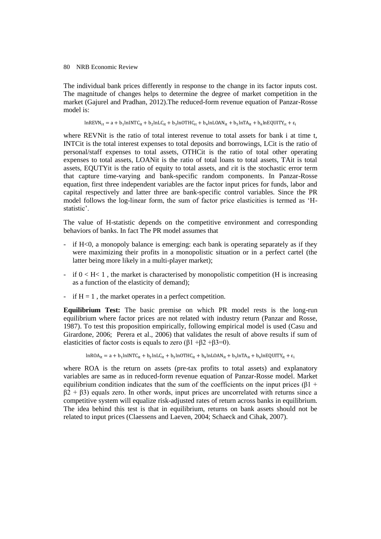The individual bank prices differently in response to the change in its factor inputs cost. The magnitude of changes helps to determine the degree of market competition in the market (Gajurel and Pradhan, 2012).The reduced-form revenue equation of Panzar-Rosse model is:

 $ln$ REVN<sub>it</sub> = a + b<sub>1</sub>lnINTC<sub>it</sub> + b<sub>2</sub>lnLC<sub>it</sub> + b<sub>3</sub>lnOTHC<sub>it</sub> + b<sub>4</sub>lnLOAN<sub>it</sub> + b<sub>5</sub>lnTA<sub>it</sub> + b<sub>6</sub>l

where REVNit is the ratio of total interest revenue to total assets for bank i at time t, INTCit is the total interest expenses to total deposits and borrowings, LCit is the ratio of personal/staff expenses to total assets, OTHCit is the ratio of total other operating expenses to total assets, LOANit is the ratio of total loans to total assets, TAit is total assets, EQUTYit is the ratio of equity to total assets, and ɛit is the stochastic error term that capture time-varying and bank-specific random components. In Panzar-Rosse equation, first three independent variables are the factor input prices for funds, labor and capital respectively and latter three are bank-specific control variables. Since the PR model follows the log-linear form, the sum of factor price elasticities is termed as 'Hstatistic'.

The value of H-statistic depends on the competitive environment and corresponding behaviors of banks. In fact The PR model assumes that

- if H<0, a monopoly balance is emerging: each bank is operating separately as if they were maximizing their profits in a monopolistic situation or in a perfect cartel (the latter being more likely in a multi-player market);
- if  $0 < H < 1$ , the market is characterised by monopolistic competition (H is increasing as a function of the elasticity of demand);
- if  $H = 1$ , the market operates in a perfect competition.

**Equilibrium Test:** The basic premise on which PR model rests is the long-run equilibrium where factor prices are not related with industry return (Panzar and Rosse, 1987). To test this proposition empirically, following empirical model is used (Casu and Girardone, 2006; Perera et al., 2006) that validates the result of above results if sum of elasticities of factor costs is equals to zero  $(\beta1 + \beta2 + \beta3=0)$ .

 $lnROA_{it} = a + b_1 lnINTC_{it} + b_2 lnLC_{it} + b_3 lnOTHC_{it} + b_4 lnLOAN_{it} + b_5 lnTA_{it} + b_6 lnT_{it}$ 

where ROA is the return on assets (pre-tax profits to total assets) and explanatory variables are same as in reduced-form revenue equation of Panzar-Rosse model. Market equilibrium condition indicates that the sum of the coefficients on the input prices ( $\beta$ 1 +  $\beta$ 2 +  $\beta$ 3) equals zero. In other words, input prices are uncorrelated with returns since a competitive system will equalize risk-adjusted rates of return across banks in equilibrium. The idea behind this test is that in equilibrium, returns on bank assets should not be related to input prices (Claessens and Laeven, 2004; Schaeck and Cihak, 2007).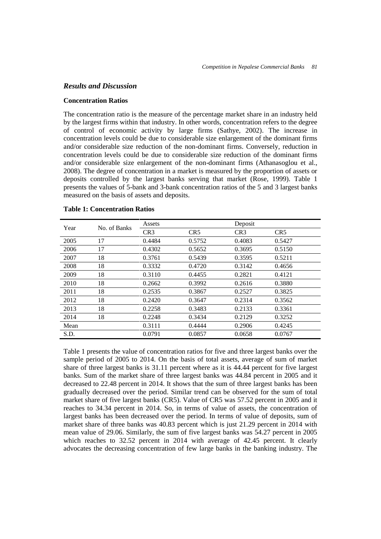#### *Results and Discussion*

#### **Concentration Ratios**

The concentration ratio is the measure of the percentage market share in an industry held by the largest firms within that industry. In other words, concentration refers to the degree of control of economic activity by large firms (Sathye, 2002). The increase in concentration levels could be due to considerable size enlargement of the dominant firms and/or considerable size reduction of the non-dominant firms. Conversely, reduction in concentration levels could be due to considerable size reduction of the dominant firms and/or considerable size enlargement of the non-dominant firms (Athanasoglou et al., 2008). The degree of concentration in a market is measured by the proportion of assets or deposits controlled by the largest banks serving that market (Rose, 1999). Table 1 presents the values of 5-bank and 3-bank concentration ratios of the 5 and 3 largest banks measured on the basis of assets and deposits.

| Year | No. of Banks | Assets          |                 | Deposit         |                 |
|------|--------------|-----------------|-----------------|-----------------|-----------------|
|      |              | CR <sub>3</sub> | CR <sub>5</sub> | CR <sub>3</sub> | CR <sub>5</sub> |
| 2005 | 17           | 0.4484          | 0.5752          | 0.4083          | 0.5427          |
| 2006 | 17           | 0.4302          | 0.5652          | 0.3695          | 0.5150          |
| 2007 | 18           | 0.3761          | 0.5439          | 0.3595          | 0.5211          |
| 2008 | 18           | 0.3332          | 0.4720          | 0.3142          | 0.4656          |
| 2009 | 18           | 0.3110          | 0.4455          | 0.2821          | 0.4121          |
| 2010 | 18           | 0.2662          | 0.3992          | 0.2616          | 0.3880          |
| 2011 | 18           | 0.2535          | 0.3867          | 0.2527          | 0.3825          |
| 2012 | 18           | 0.2420          | 0.3647          | 0.2314          | 0.3562          |
| 2013 | 18           | 0.2258          | 0.3483          | 0.2133          | 0.3361          |
| 2014 | 18           | 0.2248          | 0.3434          | 0.2129          | 0.3252          |
| Mean |              | 0.3111          | 0.4444          | 0.2906          | 0.4245          |
| S.D. |              | 0.0791          | 0.0857          | 0.0658          | 0.0767          |

#### **Table 1: Concentration Ratios**

Table 1 presents the value of concentration ratios for five and three largest banks over the sample period of 2005 to 2014. On the basis of total assets, average of sum of market share of three largest banks is 31.11 percent where as it is 44.44 percent for five largest banks. Sum of the market share of three largest banks was 44.84 percent in 2005 and it decreased to 22.48 percent in 2014. It shows that the sum of three largest banks has been gradually decreased over the period. Similar trend can be observed for the sum of total market share of five largest banks (CR5). Value of CR5 was 57.52 percent in 2005 and it reaches to 34.34 percent in 2014. So, in terms of value of assets, the concentration of largest banks has been decreased over the period. In terms of value of deposits, sum of market share of three banks was 40.83 percent which is just 21.29 percent in 2014 with mean value of 29.06. Similarly, the sum of five largest banks was 54.27 percent in 2005 which reaches to 32.52 percent in 2014 with average of 42.45 percent. It clearly advocates the decreasing concentration of few large banks in the banking industry. The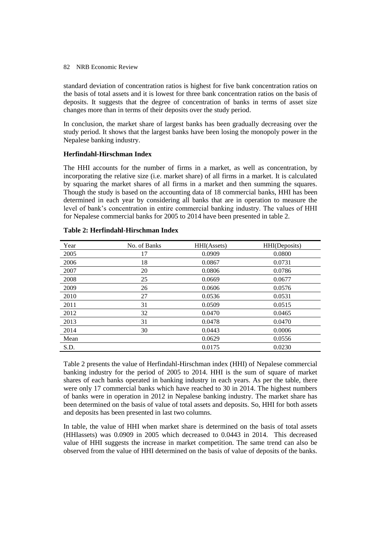standard deviation of concentration ratios is highest for five bank concentration ratios on the basis of total assets and it is lowest for three bank concentration ratios on the basis of deposits. It suggests that the degree of concentration of banks in terms of asset size changes more than in terms of their deposits over the study period.

In conclusion, the market share of largest banks has been gradually decreasing over the study period. It shows that the largest banks have been losing the monopoly power in the Nepalese banking industry.

## **Herfindahl-Hirschman Index**

The HHI accounts for the number of firms in a market, as well as concentration, by incorporating the relative size (i.e. market share) of all firms in a market. It is calculated by squaring the market shares of all firms in a market and then summing the squares. Though the study is based on the accounting data of 18 commercial banks, HHI has been determined in each year by considering all banks that are in operation to measure the level of bank's concentration in entire commercial banking industry. The values of HHI for Nepalese commercial banks for 2005 to 2014 have been presented in table 2.

| Year | No. of Banks | HHI(Assets) | HHI(Deposits) |
|------|--------------|-------------|---------------|
| 2005 | 17           | 0.0909      | 0.0800        |
| 2006 | 18           | 0.0867      | 0.0731        |
| 2007 | 20           | 0.0806      | 0.0786        |
| 2008 | 25           | 0.0669      | 0.0677        |
| 2009 | 26           | 0.0606      | 0.0576        |
| 2010 | 27           | 0.0536      | 0.0531        |
| 2011 | 31           | 0.0509      | 0.0515        |
| 2012 | 32           | 0.0470      | 0.0465        |
| 2013 | 31           | 0.0478      | 0.0470        |
| 2014 | 30           | 0.0443      | 0.0006        |
| Mean |              | 0.0629      | 0.0556        |
| S.D. |              | 0.0175      | 0.0230        |

## **Table 2: Herfindahl-Hirschman Index**

Table 2 presents the value of Herfindahl-Hirschman index (HHI) of Nepalese commercial banking industry for the period of 2005 to 2014. HHI is the sum of square of market shares of each banks operated in banking industry in each years. As per the table, there were only 17 commercial banks which have reached to 30 in 2014. The highest numbers of banks were in operation in 2012 in Nepalese banking industry. The market share has been determined on the basis of value of total assets and deposits. So, HHI for both assets and deposits has been presented in last two columns.

In table, the value of HHI when market share is determined on the basis of total assets (HHIassets) was 0.0909 in 2005 which decreased to 0.0443 in 2014. This decreased value of HHI suggests the increase in market competition. The same trend can also be observed from the value of HHI determined on the basis of value of deposits of the banks.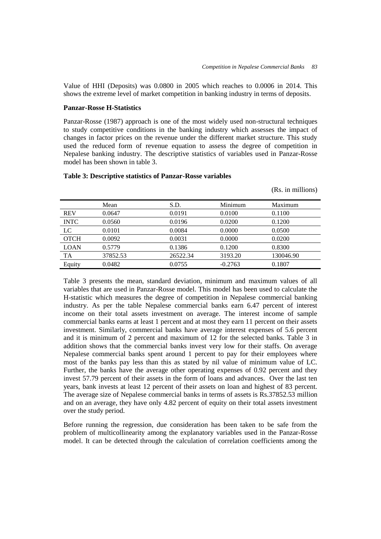Value of HHI (Deposits) was 0.0800 in 2005 which reaches to 0.0006 in 2014. This shows the extreme level of market competition in banking industry in terms of deposits.

## **Panzar-Rosse H-Statistics**

Panzar-Rosse (1987) approach is one of the most widely used non-structural techniques to study competitive conditions in the banking industry which assesses the impact of changes in factor prices on the revenue under the different market structure. This study used the reduced form of revenue equation to assess the degree of competition in Nepalese banking industry. The descriptive statistics of variables used in Panzar-Rosse model has been shown in table 3.

|             |          |          |           | (Rs. in millions) |
|-------------|----------|----------|-----------|-------------------|
|             | Mean     | S.D.     | Minimum   | Maximum           |
| <b>REV</b>  | 0.0647   | 0.0191   | 0.0100    | 0.1100            |
| <b>INTC</b> | 0.0560   | 0.0196   | 0.0200    | 0.1200            |
| $_{\rm LC}$ | 0.0101   | 0.0084   | 0.0000    | 0.0500            |
| <b>OTCH</b> | 0.0092   | 0.0031   | 0.0000    | 0.0200            |
| <b>LOAN</b> | 0.5779   | 0.1386   | 0.1200    | 0.8300            |
| TA          | 37852.53 | 26522.34 | 3193.20   | 130046.90         |
| Equity      | 0.0482   | 0.0755   | $-0.2763$ | 0.1807            |

#### **Table 3: Descriptive statistics of Panzar-Rosse variables**

Table 3 presents the mean, standard deviation, minimum and maximum values of all variables that are used in Panzar-Rosse model. This model has been used to calculate the H-statistic which measures the degree of competition in Nepalese commercial banking industry. As per the table Nepalese commercial banks earn 6.47 percent of interest income on their total assets investment on average. The interest income of sample commercial banks earns at least 1 percent and at most they earn 11 percent on their assets investment. Similarly, commercial banks have average interest expenses of 5.6 percent and it is minimum of 2 percent and maximum of 12 for the selected banks. Table 3 in addition shows that the commercial banks invest very low for their staffs. On average Nepalese commercial banks spent around 1 percent to pay for their employees where most of the banks pay less than this as stated by nil value of minimum value of LC. Further, the banks have the average other operating expenses of 0.92 percent and they invest 57.79 percent of their assets in the form of loans and advances. Over the last ten years, bank invests at least 12 percent of their assets on loan and highest of 83 percent. The average size of Nepalese commercial banks in terms of assets is Rs.37852.53 million and on an average, they have only 4.82 percent of equity on their total assets investment over the study period.

Before running the regression, due consideration has been taken to be safe from the problem of multicollinearity among the explanatory variables used in the Panzar-Rosse model. It can be detected through the calculation of correlation coefficients among the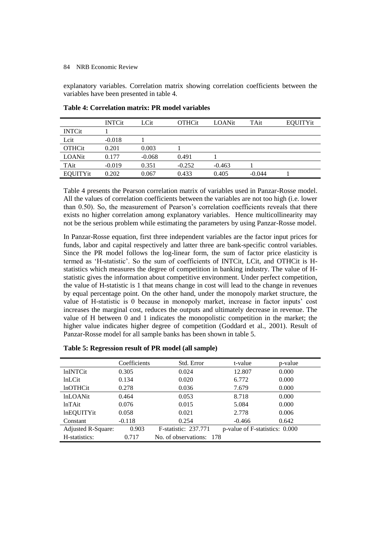explanatory variables. Correlation matrix showing correlation coefficients between the variables have been presented in table 4.

|               | <b>INTCit</b> | LCit     | <b>OTHCit</b> | LOANit   | TAit     | EQUITYit |
|---------------|---------------|----------|---------------|----------|----------|----------|
| <b>INTCit</b> |               |          |               |          |          |          |
| Lcit          | $-0.018$      |          |               |          |          |          |
| <b>OTHCit</b> | 0.201         | 0.003    |               |          |          |          |
| LOANit        | 0.177         | $-0.068$ | 0.491         |          |          |          |
| TAit          | $-0.019$      | 0.351    | $-0.252$      | $-0.463$ |          |          |
| EQUITYit      | 0.202         | 0.067    | 0.433         | 0.405    | $-0.044$ |          |

**Table 4: Correlation matrix: PR model variables**

Table 4 presents the Pearson correlation matrix of variables used in Panzar-Rosse model. All the values of correlation coefficients between the variables are not too high (i.e. lower than 0.50). So, the measurement of Pearson's correlation coefficients reveals that there exists no higher correlation among explanatory variables. Hence multicollinearity may not be the serious problem while estimating the parameters by using Panzar-Rosse model.

In Panzar-Rosse equation, first three independent variables are the factor input prices for funds, labor and capital respectively and latter three are bank-specific control variables. Since the PR model follows the log-linear form, the sum of factor price elasticity is termed as 'H-statistic'. So the sum of coefficients of INTCit, LCit, and OTHCit is Hstatistics which measures the degree of competition in banking industry. The value of Hstatistic gives the information about competitive environment. Under perfect competition, the value of H-statistic is 1 that means change in cost will lead to the change in revenues by equal percentage point. On the other hand, under the monopoly market structure, the value of H-statistic is 0 because in monopoly market, increase in factor inputs' cost increases the marginal cost, reduces the outputs and ultimately decrease in revenue. The value of H between 0 and 1 indicates the monopolistic competition in the market; the higher value indicates higher degree of competition (Goddard et al., 2001). Result of Panzar-Rosse model for all sample banks has been shown in table 5.

|                    | Coefficients | Std. Error                   | t-value                        | p-value |
|--------------------|--------------|------------------------------|--------------------------------|---------|
| <b>lnINTCit</b>    | 0.305        | 0.024                        | 12.807                         | 0.000   |
| $lnL$ Cit          | 0.134        | 0.020                        | 6.772                          | 0.000   |
| <b>lnOTHCit</b>    | 0.278        | 0.036                        | 7.679                          | 0.000   |
| <b>lnLOANit</b>    | 0.464        | 0.053                        | 8.718                          | 0.000   |
| $lnTA$ it          | 0.076        | 0.015                        | 5.084                          | 0.000   |
| <b>lnEQUITYit</b>  | 0.058        | 0.021                        | 2.778                          | 0.006   |
| Constant           | $-0.118$     | 0.254                        | $-0.466$                       | 0.642   |
| Adjusted R-Square: | 0.903        | <b>F</b> -statistic: 237.771 | p-value of F-statistics: 0.000 |         |
| H-statistics:      | 0.717        | No. of observations: 178     |                                |         |

| Table 5: Regression result of PR model (all sample) |  |
|-----------------------------------------------------|--|
|-----------------------------------------------------|--|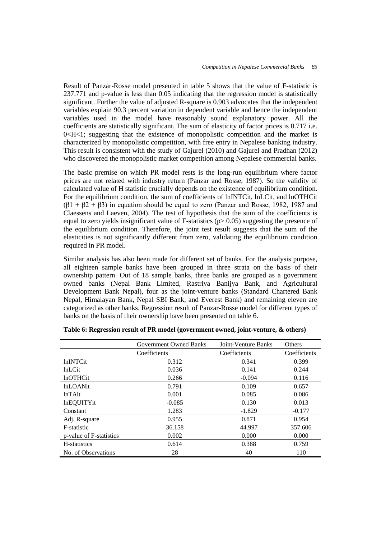Result of Panzar-Rosse model presented in table 5 shows that the value of F-statistic is 237.771 and p-value is less than 0.05 indicating that the regression model is statistically significant. Further the value of adjusted R-square is 0.903 advocates that the independent variables explain 90.3 percent variation in dependent variable and hence the independent variables used in the model have reasonably sound explanatory power. All the coefficients are statistically significant. The sum of elasticity of factor prices is 0.717 i.e.  $0 < H < 1$ ; suggesting that the existence of monopolistic competition and the market is characterized by monopolistic competition, with free entry in Nepalese banking industry. This result is consistent with the study of Gajurel (2010) and Gajurel and Pradhan (2012) who discovered the monopolistic market competition among Nepalese commercial banks.

The basic premise on which PR model rests is the long-run equilibrium where factor prices are not related with industry return (Panzar and Rosse, 1987). So the validity of calculated value of H statistic crucially depends on the existence of equilibrium condition. For the equilibrium condition, the sum of coefficients of lnINTCit, lnLCit, and lnOTHCit  $(\beta_1 + \beta_2 + \beta_3)$  in equation should be equal to zero (Panzar and Rosse, 1982, 1987 and Claessens and Laeven, 2004). The test of hypothesis that the sum of the coefficients is equal to zero yields insignificant value of F-statistics ( $p > 0.05$ ) suggesting the presence of the equilibrium condition. Therefore, the joint test result suggests that the sum of the elasticities is not significantly different from zero, validating the equilibrium condition required in PR model.

Similar analysis has also been made for different set of banks. For the analysis purpose, all eighteen sample banks have been grouped in three strata on the basis of their ownership pattern. Out of 18 sample banks, three banks are grouped as a government owned banks (Nepal Bank Limited, Rastriya Banijya Bank, and Agricultural Development Bank Nepal), four as the joint-venture banks (Standard Chartered Bank Nepal, Himalayan Bank, Nepal SBI Bank, and Everest Bank) and remaining eleven are categorized as other banks. Regression result of Panzar-Rosse model for different types of banks on the basis of their ownership have been presented on table 6.

|                         | <b>Government Owned Banks</b> | Joint-Venture Banks | Others       |
|-------------------------|-------------------------------|---------------------|--------------|
|                         | Coefficients                  | Coefficients        | Coefficients |
| <b>lnINTCit</b>         | 0.312                         | 0.341               | 0.399        |
| <b>lnLCit</b>           | 0.036                         | 0.141               | 0.244        |
| <b>lnOTHCit</b>         | 0.266                         | $-0.094$            | 0.116        |
| <b>lnLOANit</b>         | 0.791                         | 0.109               | 0.657        |
| $lnTA$ it               | 0.001                         | 0.085               | 0.086        |
| <b>lnEQUITYit</b>       | $-0.085$                      | 0.130               | 0.013        |
| Constant                | 1.283                         | $-1.829$            | $-0.177$     |
| Adj. R-square           | 0.955                         | 0.871               | 0.954        |
| F-statistic             | 36.158                        | 44.997              | 357.606      |
| p-value of F-statistics | 0.002                         | 0.000               | 0.000        |
| H-statistics            | 0.614                         | 0.388               | 0.759        |
| No. of Observations     | 28                            | 40                  | 110          |

**Table 6: Regression result of PR model (government owned, joint-venture, & others)**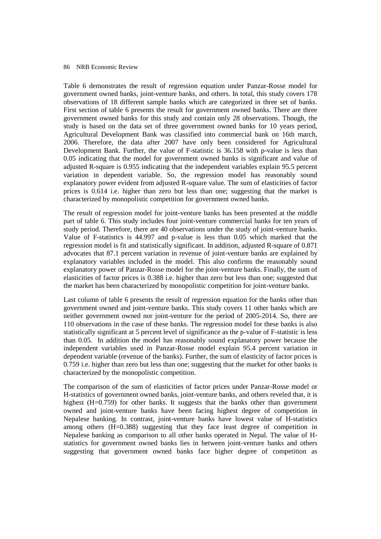Table 6 demonstrates the result of regression equation under Panzar-Rosse model for government owned banks, joint-venture banks, and others. In total, this study covers 178 observations of 18 different sample banks which are categorized in three set of banks. First section of table 6 presents the result for government owned banks. There are three government owned banks for this study and contain only 28 observations. Though, the study is based on the data set of three government owned banks for 10 years period, Agricultural Development Bank was classified into commercial bank on 16th march, 2006. Therefore, the data after 2007 have only been considered for Agricultural Development Bank. Further, the value of F-statistic is 36.158 with p-value is less than 0.05 indicating that the model for government owned banks is significant and value of adjusted R-square is 0.955 indicating that the independent variables explain 95.5 percent variation in dependent variable. So, the regression model has reasonably sound explanatory power evident from adjusted R-square value. The sum of elasticities of factor prices is 0.614 i.e. higher than zero but less than one; suggesting that the market is characterized by monopolistic competition for government owned banks.

The result of regression model for joint-venture banks has been presented at the middle part of table 6. This study includes four joint-venture commercial banks for ten years of study period. Therefore, there are 40 observations under the study of joint-venture banks. Value of F-statistics is 44.997 and p-value is less than 0.05 which marked that the regression model is fit and statistically significant. In addition, adjusted R-square of 0.871 advocates that 87.1 percent variation in revenue of joint-venture banks are explained by explanatory variables included in the model. This also confirms the reasonably sound explanatory power of Panzar-Rosse model for the joint-venture banks. Finally, the sum of elasticities of factor prices is 0.388 i.e. higher than zero but less than one; suggested that the market has been characterized by monopolistic competition for joint-venture banks.

Last column of table 6 presents the result of regression equation for the banks other than government owned and joint-venture banks. This study covers 11 other banks which are neither government owned nor joint-venture for the period of 2005-2014. So, there are 110 observations in the case of these banks. The regression model for these banks is also statistically significant at 5 percent level of significance as the p-value of F-statistic is less than 0.05. In addition the model has reasonably sound explanatory power because the independent variables used in Panzar-Rosse model explain 95.4 percent variation in dependent variable (revenue of the banks). Further, the sum of elasticity of factor prices is 0.759 i.e. higher than zero but less than one; suggesting that the market for other banks is characterized by the monopolistic competition.

The comparison of the sum of elasticities of factor prices under Panzar-Rosse model or H-statistics of government owned banks, joint-venture banks, and others reveled that, it is highest (H=0.759) for other banks. It suggests that the banks other than government owned and joint-venture banks have been facing highest degree of competition in Nepalese banking. In contrast, joint-venture banks have lowest value of H-statistics among others (H=0.388) suggesting that they face least degree of competition in Nepalese banking as comparison to all other banks operated in Nepal. The value of Hstatistics for government owned banks lies in between joint-venture banks and others suggesting that government owned banks face higher degree of competition as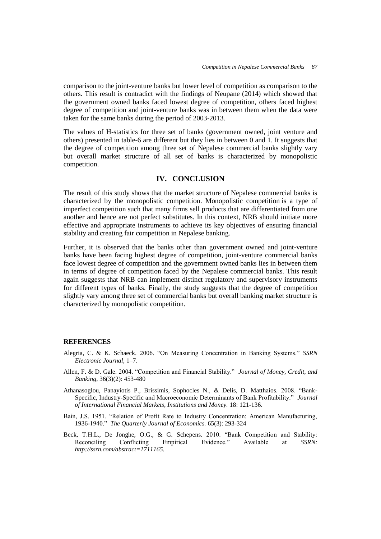comparison to the joint-venture banks but lower level of competition as comparison to the others. This result is contradict with the findings of Neupane (2014) which showed that the government owned banks faced lowest degree of competition, others faced highest degree of competition and joint-venture banks was in between them when the data were taken for the same banks during the period of 2003-2013.

The values of H-statistics for three set of banks (government owned, joint venture and others) presented in table-6 are different but they lies in between 0 and 1. It suggests that the degree of competition among three set of Nepalese commercial banks slightly vary but overall market structure of all set of banks is characterized by monopolistic competition.

## **IV. CONCLUSION**

The result of this study shows that the market structure of Nepalese commercial banks is characterized by the monopolistic competition. Monopolistic competition is a type of imperfect competition such that many firms sell products that are differentiated from one another and hence are not perfect substitutes. In this context, NRB should initiate more effective and appropriate instruments to achieve its key objectives of ensuring financial stability and creating fair competition in Nepalese banking.

Further, it is observed that the banks other than government owned and joint-venture banks have been facing highest degree of competition, joint-venture commercial banks face lowest degree of competition and the government owned banks lies in between them in terms of degree of competition faced by the Nepalese commercial banks. This result again suggests that NRB can implement distinct regulatory and supervisory instruments for different types of banks. Finally, the study suggests that the degree of competition slightly vary among three set of commercial banks but overall banking market structure is characterized by monopolistic competition.

#### **REFERENCES**

- Alegria, C. & K. Schaeck. 2006. "On Measuring Concentration in Banking Systems." *SSRN Electronic Journal*, 1–7.
- Allen, F. & D. Gale. 2004. "Competition and Financial Stability." *Journal of Money, Credit, and Banking*, 36(3)(2): 453-480
- Athanasoglou, Panayiotis P., Brissimis, Sophocles N., & Delis, D. Matthaios. 2008. "Bank-Specific, Industry-Specific and Macroeconomic Determinants of Bank Profitability." *Journal of International Financial Markets, Institutions and Money.* 18: 121-136.
- Bain, J.S. 1951. "Relation of Profit Rate to Industry Concentration: American Manufacturing, 1936-1940." *The Quarterly Journal of Economics.* 65(3): 293-324
- Beck, T.H.L., De Jonghe, O.G., & G. Schepens. 2010. "Bank Competition and Stability: Reconciling Conflicting Empirical Evidence." Available at *SSRN: http://ssrn.com/abstract=1711165.*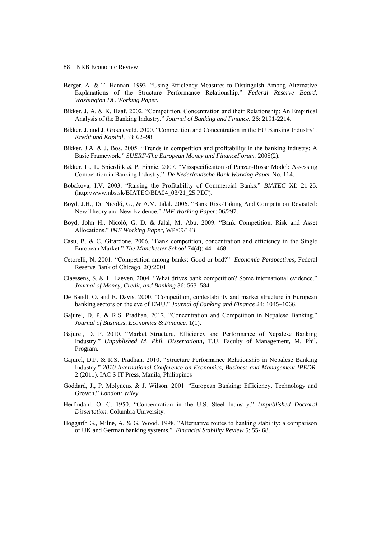- Berger, A. & T. Hannan. 1993. "Using Efficiency Measures to Distinguish Among Alternative Explanations of the Structure Performance Relationship." *Federal Reserve Board, Washington DC Working Paper.*
- Bikker, J. A. & K. Haaf. 2002. "Competition, Concentration and their Relationship: An Empirical Analysis of the Banking Industry." *Journal of Banking and Finance.* 26: 2191-2214.
- Bikker, J. and J. Groeneveld. 2000. "Competition and Concentration in the EU Banking Industry". *Kredit und Kapital*, 33: 62–98.
- Bikker, J.A. & J. Bos. 2005. "Trends in competition and profitability in the banking industry: A Basic Framework." *SUERF-The European Money and FinanceForum.* 2005(2).
- Bikker, L., L. Spierdijk & P. Finnie. 2007. "Misspecificaiton of Panzar-Rosse Model: Assessing Competition in Banking Industry." *De Nederlandsche Bank Working Paper* No. 114.
- Bobakova, I.V. 2003. "Raising the Profitability of Commercial Banks." *BIATEC* XI: 21-25. (http://www.nbs.sk/BIATEC/BIA04\_03/21\_25.PDF).
- Boyd, J.H., De Nicoló, G., & A.M. Jalal. 2006. "Bank Risk-Taking And Competition Revisited: New Theory and New Evidence." *IMF Working Paper*: 06/297.
- Boyd, John H., Nicolò, G. D. & Jalal, M. Abu. 2009. "Bank Competition, Risk and Asset Allocations." *IMF Working Paper*, WP/09/143
- Casu, B. & C. Girardone. 2006. "Bank competition, concentration and efficiency in the Single European Market." *The Manchester School* 74(4): 441-468.
- Cetorelli, N. 2001. "Competition among banks: Good or bad?" .*Economic Perspectives*, Federal Reserve Bank of Chicago, 2Q/2001.
- Claessens, S. & L. Laeven. 2004. "What drives bank competition? Some international evidence." *Journal of Money, Credit, and Banking* 36: 563–584.
- De Bandt, O. and E. Davis. 2000, "Competition, contestability and market structure in European banking sectors on the eve of EMU." *Journal of Banking and Finance* 24: 1045–1066.
- Gajurel, D. P. & R.S. Pradhan. 2012. "Concentration and Competition in Nepalese Banking." *Journal of Business, Economics & Finance.* 1(1).
- Gajurel, D. P. 2010. "Market Structure, Efficiency and Performance of Nepalese Banking Industry." *Unpublished M. Phil. Dissertationn*, T.U. Faculty of Management, M. Phil. Program.
- Gajurel, D.P. & R.S. Pradhan. 2010. "Structure Performance Relationship in Nepalese Banking Industry." *2010 International Conference on Economics, Business and Management IPEDR.* 2 (2011). IAC S IT Press, Manila, Philippines
- Goddard, J., P. Molyneux & J. Wilson. 2001. "European Banking: Efficiency, Technology and Growth." *London: Wiley*.
- Herfindahl, O. C. 1950. "Concentration in the U.S. Steel Industry." *Unpublished Doctoral Dissertation.* Columbia University.
- Hoggarth G., Milne, A. & G. Wood. 1998. "Alternative routes to banking stability: a comparison of UK and German banking systems." *Financial Stability Review* 5: 55- 68.